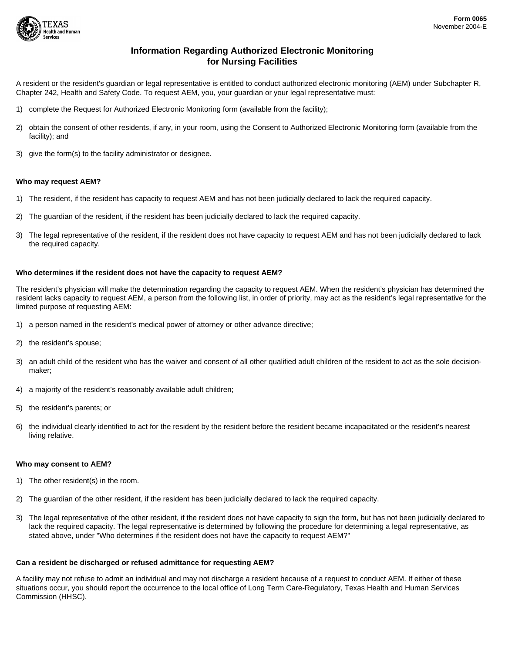

# **Information Regarding Authorized Electronic Monitoring for Nursing Facilities**

A resident or the resident's guardian or legal representative is entitled to conduct authorized electronic monitoring (AEM) under Subchapter R, Chapter 242, Health and Safety Code. To request AEM, you, your guardian or your legal representative must:

- 1) complete the Request for Authorized Electronic Monitoring form (available from the facility);
- 2) obtain the consent of other residents, if any, in your room, using the Consent to Authorized Electronic Monitoring form (available from the facility); and
- 3) give the form(s) to the facility administrator or designee.

# **Who may request AEM?**

- 1) The resident, if the resident has capacity to request AEM and has not been judicially declared to lack the required capacity.
- 2) The guardian of the resident, if the resident has been judicially declared to lack the required capacity.
- 3) The legal representative of the resident, if the resident does not have capacity to request AEM and has not been judicially declared to lack the required capacity.

## **Who determines if the resident does not have the capacity to request AEM?**

The resident's physician will make the determination regarding the capacity to request AEM. When the resident's physician has determined the resident lacks capacity to request AEM, a person from the following list, in order of priority, may act as the resident's legal representative for the limited purpose of requesting AEM:

- 1) a person named in the resident's medical power of attorney or other advance directive;
- 2) the resident's spouse;
- 3) an adult child of the resident who has the waiver and consent of all other qualified adult children of the resident to act as the sole decisionmaker;
- 4) a majority of the resident's reasonably available adult children;
- 5) the resident's parents; or
- 6) the individual clearly identified to act for the resident by the resident before the resident became incapacitated or the resident's nearest living relative.

# **Who may consent to AEM?**

- 1) The other resident(s) in the room.
- 2) The guardian of the other resident, if the resident has been judicially declared to lack the required capacity.
- 3) The legal representative of the other resident, if the resident does not have capacity to sign the form, but has not been judicially declared to lack the required capacity. The legal representative is determined by following the procedure for determining a legal representative, as stated above, under "Who determines if the resident does not have the capacity to request AEM?"

### **Can a resident be discharged or refused admittance for requesting AEM?**

A facility may not refuse to admit an individual and may not discharge a resident because of a request to conduct AEM. If either of these situations occur, you should report the occurrence to the local office of Long Term Care-Regulatory, Texas Health and Human Services Commission (HHSC).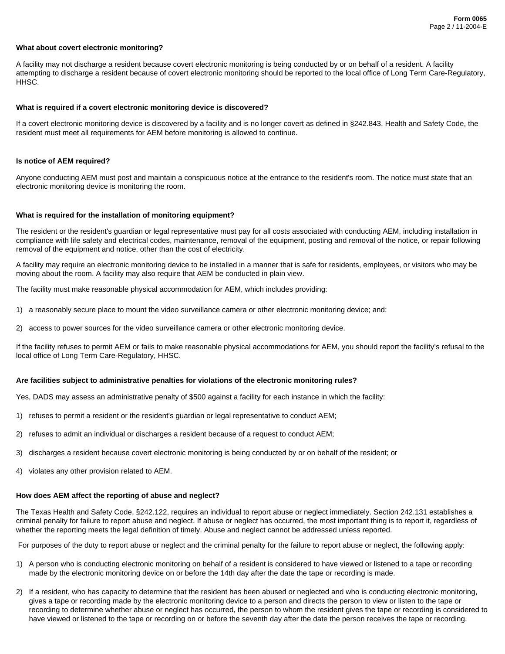### **What about covert electronic monitoring?**

A facility may not discharge a resident because covert electronic monitoring is being conducted by or on behalf of a resident. A facility attempting to discharge a resident because of covert electronic monitoring should be reported to the local office of Long Term Care-Regulatory, HHSC.

### **What is required if a covert electronic monitoring device is discovered?**

If a covert electronic monitoring device is discovered by a facility and is no longer covert as defined in §242.843, Health and Safety Code, the resident must meet all requirements for AEM before monitoring is allowed to continue.

#### **Is notice of AEM required?**

Anyone conducting AEM must post and maintain a conspicuous notice at the entrance to the resident's room. The notice must state that an electronic monitoring device is monitoring the room.

#### **What is required for the installation of monitoring equipment?**

The resident or the resident's guardian or legal representative must pay for all costs associated with conducting AEM, including installation in compliance with life safety and electrical codes, maintenance, removal of the equipment, posting and removal of the notice, or repair following removal of the equipment and notice, other than the cost of electricity.

A facility may require an electronic monitoring device to be installed in a manner that is safe for residents, employees, or visitors who may be moving about the room. A facility may also require that AEM be conducted in plain view.

The facility must make reasonable physical accommodation for AEM, which includes providing:

- 1) a reasonably secure place to mount the video surveillance camera or other electronic monitoring device; and:
- 2) access to power sources for the video surveillance camera or other electronic monitoring device.

If the facility refuses to permit AEM or fails to make reasonable physical accommodations for AEM, you should report the facility's refusal to the local office of Long Term Care-Regulatory, HHSC.

### **Are facilities subject to administrative penalties for violations of the electronic monitoring rules?**

Yes, DADS may assess an administrative penalty of \$500 against a facility for each instance in which the facility:

- 1) refuses to permit a resident or the resident's guardian or legal representative to conduct AEM;
- 2) refuses to admit an individual or discharges a resident because of a request to conduct AEM;
- 3) discharges a resident because covert electronic monitoring is being conducted by or on behalf of the resident; or
- 4) violates any other provision related to AEM.

# **How does AEM affect the reporting of abuse and neglect?**

The Texas Health and Safety Code, §242.122, requires an individual to report abuse or neglect immediately. Section 242.131 establishes a criminal penalty for failure to report abuse and neglect. If abuse or neglect has occurred, the most important thing is to report it, regardless of whether the reporting meets the legal definition of timely. Abuse and neglect cannot be addressed unless reported.

For purposes of the duty to report abuse or neglect and the criminal penalty for the failure to report abuse or neglect, the following apply:

- 1) A person who is conducting electronic monitoring on behalf of a resident is considered to have viewed or listened to a tape or recording made by the electronic monitoring device on or before the 14th day after the date the tape or recording is made.
- 2) If a resident, who has capacity to determine that the resident has been abused or neglected and who is conducting electronic monitoring, gives a tape or recording made by the electronic monitoring device to a person and directs the person to view or listen to the tape or recording to determine whether abuse or neglect has occurred, the person to whom the resident gives the tape or recording is considered to have viewed or listened to the tape or recording on or before the seventh day after the date the person receives the tape or recording.